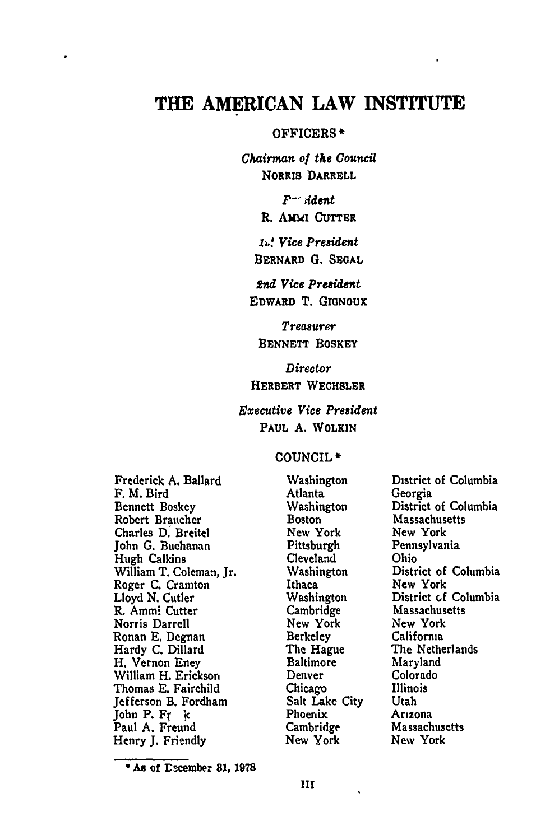# THE **AMERICAN** LAW **INSTITUTE**

#### OFFICERS **\***

*Chairman of the Council* **NORRIS DARRELL**

> **F-** *ddent* **R. AMMI CUTTER**

*lt Vice President* **BERNARD G. SEGAL**

*2nd Vice President* **EDWARD** T. **GroNOUX**

*Treasurer* **BENNETT BOSKEY**

*Director* **HERBERT WECHSLER**

## *Executive Vice President* **PAUL A. WOLKIN**

#### **COUNCIL \***

Frederick **A.** Ballard F. M. Bird Bennett Boskey Robert Braucher Charles **D.** Breitel John **G.** Buchanan Hugh Calkins William T. Coleman, Jr. Roger **C.** Cramton Lloyd **N.** Cutler R. Ammi Cutter Norris Darrell Ronan **E.** Degnan Hardy **C.** Dillard H. Vernon Eney William H. Erickson Thomas **E.** Fairchild Jefferson B. Fordham John P. Fr **k** Paul **A.** Freund Henry **J.** Friendly

Washington Atlanta Washington Boston New York Pittsburgh Cleveland Washington Ithaca Washington Cambridge New York Berkeley The Hague Baltimore Denver Chicago Salt Lake City Phoenix Cambridge New York

District of Columbia Georgia District of Columbia Massachusetts New York Pennsylvania Ohio District of Columbia New York District **of** Columbia Massachusetts New York California The Netherlands Maryland Colorado Illinois Utah Arizona Massachusetts New York

**<sup>\*</sup> As** of rscember **81, 198**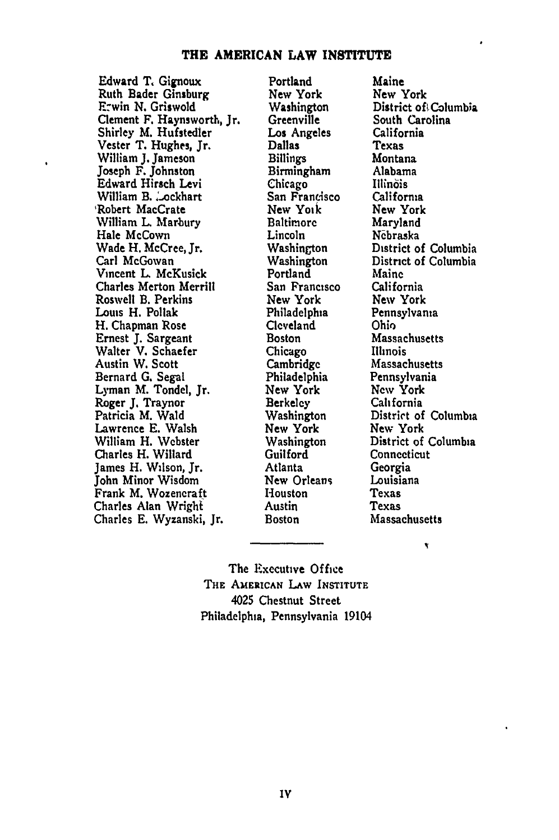#### **THE AMERICAN LAW INSTITUTE**

Edward T, Gignoux Ruth Bader Ginsburg EFzwin **N.** Griswold Clement F. Haynsworth, Jr. Shirley M. Hufstedler Vester T. Hughes, Jr. William **J.** Jameson Joseph F. Johnston Edward Hirsch Levi William B. . ockhart 'Robert MaeCrate William L Marbury Hale McCown Wade H. McCree, Jr. Carl McGowan Vincent L McKusick Charles Merton Merrill Roswell B. Perkins Louis H. Pollak H. Chapman Rose Ernest J. Sargeant Walter V. Schaefer Austin W. Scott Bernard G. Segal Lyman M. Tondel, Jr. Roger J. Traynor Patricia M. Wald Lawrence E. Walsh William H. Webster Charles H. Willard James H. Wilson, Jr. John Minor Wisdom Frank M. Wozencraft Charles Alan Wright Charles **E.** Wyzanski, Jr.

 $\ddot{\phantom{0}}$ 

Portland New York Washington Greenville *Los* Angeles Dallas Billings Birmingham Chicago San Francisco New Yoik Baltimore Lincoln Washington Washington Portland San Francisco New York Philadelphia Cleveland Boston Chicago Cambridge Philadelphia New York Berkeley Washington New York Washington Guilford Atlanta New Orleans Houston Austin Boston

Maine New York District of Columbia South Carolina California Texas Montana Alabama Illin6is California New York Maryland Nebraska District of Columbia District of Columbia Maine California New York Pennsylvania Ohio Massachusetts Illinois Massachusetts Pennsylvania New York California District of Columbia New York District of Columbia **Connecticut** Georgia Louisiana Texas Texas Massachusetts

۲

The Executive Office THE **AMERICAN LAw INSTITUTE** 4025 Chestnut Street Philadelphia, Pennsylvania 19104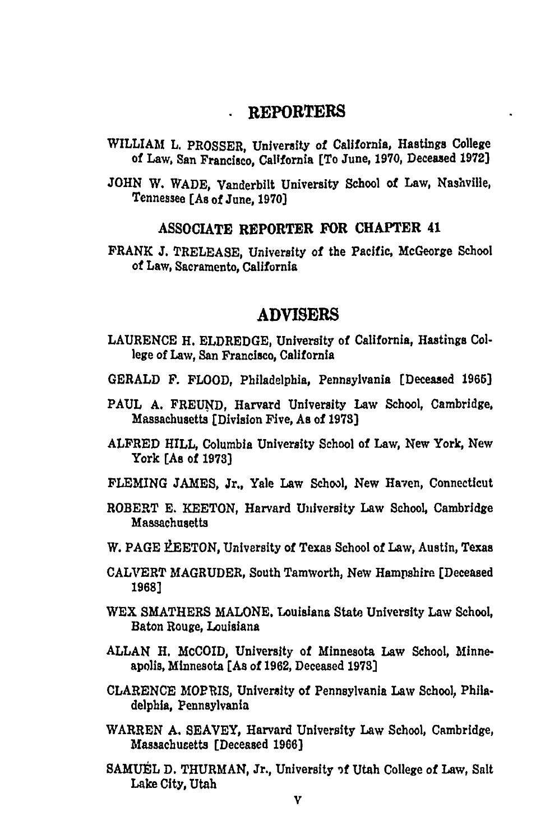#### **REPORTERS**  $\mathbf{L}$

- WILLIAM **L.** PROSSER, University of California, Hastings College **of** Law, San Francisco, California [To June, **1970,** Deceased **1972]**
- **JOHN** W. WADE, Vanderbilt University School **of** Law, Nashville, Tennessee (As of June, **1970)**

## ASSOCIATE REPORTER **FOR CHAPTER 41**

FRANK **J.** TRELEASE, University of the Pacific, McGeorge School of Law, Sacramento, California

# **ADVISERS**

- **LAURENCE** H. ELDREDGE, University of California, Hastings College of Law, San Francisco, California
- GERALD F. FLOOD, Philadelphia, Pennsylvania [Deceased **1965]**
- **PAUL A. FREUND,** Harvard University Law School, Cambridge, Massachusetts [Division Five, **As** of **1978]**
- ALFRED HILL, Columbia University School of Law, New York, New York [As of **1973]**
- **FLEMING JAMES,** Jr., Yale Law School, New Haven, Connecticut
- ROBERT **E. KEETON,** Harvard University Law School, Cambridge Massachusetts
- W. PAGE *LEETON*, University of Texas School of Law, Austin, Texas
- CALVERT MAGRUDER, South Tamworth, New Hampshire [Deceased **1968]**
- WEX SMATHERS **MALONE.** Louisiana State University Law School, Baton Rouge, Louisiana
- **ALLAN** H. McCOID, University of Minnesota Law School, Minneapolis, Minnesota **[As** of **1962,** Deceased **1973]**
- **CLARENCE** MORRIS, University of Pennsylvania Law School, Philadelphia, Pennsylvania
- WARREN **A.** SEAVEY, Harvard University Law School, Cambridge, Massachusetts (Deceased **1966)**
- SAMUEL D. THURMAN, Jr., University of Utah College of Law, Salt Lake City, Utah